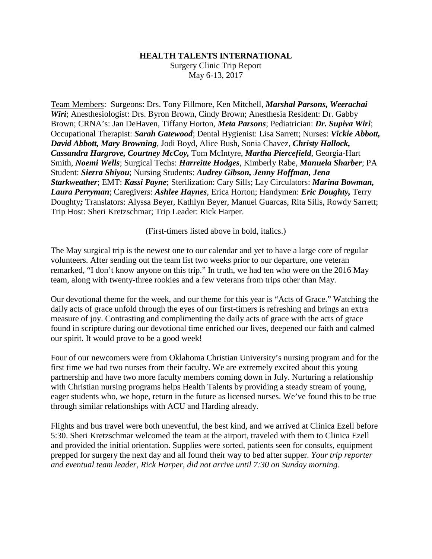## **HEALTH TALENTS INTERNATIONAL**

Surgery Clinic Trip Report May 6-13, 2017

Team Members: Surgeons: Drs. Tony Fillmore, Ken Mitchell, *Marshal Parsons, Weerachai Wiri*; Anesthesiologist: Drs. Byron Brown, Cindy Brown; Anesthesia Resident: Dr. Gabby Brown; CRNA's: Jan DeHaven, Tiffany Horton, *Meta Parsons*; Pediatrician: *Dr. Supiva Wiri*; Occupational Therapist: *Sarah Gatewood*; Dental Hygienist: Lisa Sarrett; Nurses: *Vickie Abbott, David Abbott, Mary Browning*, Jodi Boyd, Alice Bush, Sonia Chavez, *Christy Hallock, Cassandra Hargrove, Courtney McCoy,* Tom McIntyre, *Martha Piercefield*, Georgia-Hart Smith, *Noemi Wells*; Surgical Techs: *Harreitte Hodges*, Kimberly Rabe, *Manuela Sharber*; PA Student: *Sierra Shiyou*; Nursing Students: *Audrey Gibson, Jenny Hoffman, Jena Starkweather*; EMT: *Kassi Payne*; Sterilization: Cary Sills; Lay Circulators: *Marina Bowman, Laura Perryman*; Caregivers: *Ashlee Haynes*, Erica Horton; Handymen: *Eric Doughty,* Terry Doughty*;* Translators: Alyssa Beyer, Kathlyn Beyer, Manuel Guarcas, Rita Sills, Rowdy Sarrett; Trip Host: Sheri Kretzschmar; Trip Leader: Rick Harper.

(First-timers listed above in bold, italics.)

The May surgical trip is the newest one to our calendar and yet to have a large core of regular volunteers. After sending out the team list two weeks prior to our departure, one veteran remarked, "I don't know anyone on this trip." In truth, we had ten who were on the 2016 May team, along with twenty-three rookies and a few veterans from trips other than May.

Our devotional theme for the week, and our theme for this year is "Acts of Grace." Watching the daily acts of grace unfold through the eyes of our first-timers is refreshing and brings an extra measure of joy. Contrasting and complimenting the daily acts of grace with the acts of grace found in scripture during our devotional time enriched our lives, deepened our faith and calmed our spirit. It would prove to be a good week!

Four of our newcomers were from Oklahoma Christian University's nursing program and for the first time we had two nurses from their faculty. We are extremely excited about this young partnership and have two more faculty members coming down in July. Nurturing a relationship with Christian nursing programs helps Health Talents by providing a steady stream of young, eager students who, we hope, return in the future as licensed nurses. We've found this to be true through similar relationships with ACU and Harding already.

Flights and bus travel were both uneventful, the best kind, and we arrived at Clinica Ezell before 5:30. Sheri Kretzschmar welcomed the team at the airport, traveled with them to Clinica Ezell and provided the initial orientation. Supplies were sorted, patients seen for consults, equipment prepped for surgery the next day and all found their way to bed after supper. *Your trip reporter and eventual team leader, Rick Harper, did not arrive until 7:30 on Sunday morning.*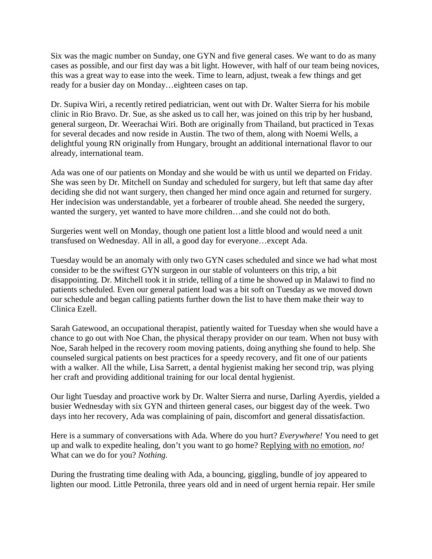Six was the magic number on Sunday, one GYN and five general cases. We want to do as many cases as possible, and our first day was a bit light. However, with half of our team being novices, this was a great way to ease into the week. Time to learn, adjust, tweak a few things and get ready for a busier day on Monday…eighteen cases on tap.

Dr. Supiva Wiri, a recently retired pediatrician, went out with Dr. Walter Sierra for his mobile clinic in Rio Bravo. Dr. Sue, as she asked us to call her, was joined on this trip by her husband, general surgeon, Dr. Weerachai Wiri. Both are originally from Thailand, but practiced in Texas for several decades and now reside in Austin. The two of them, along with Noemi Wells, a delightful young RN originally from Hungary, brought an additional international flavor to our already, international team.

Ada was one of our patients on Monday and she would be with us until we departed on Friday. She was seen by Dr. Mitchell on Sunday and scheduled for surgery, but left that same day after deciding she did not want surgery, then changed her mind once again and returned for surgery. Her indecision was understandable, yet a forbearer of trouble ahead. She needed the surgery, wanted the surgery, yet wanted to have more children…and she could not do both.

Surgeries went well on Monday, though one patient lost a little blood and would need a unit transfused on Wednesday. All in all, a good day for everyone…except Ada.

Tuesday would be an anomaly with only two GYN cases scheduled and since we had what most consider to be the swiftest GYN surgeon in our stable of volunteers on this trip, a bit disappointing. Dr. Mitchell took it in stride, telling of a time he showed up in Malawi to find no patients scheduled. Even our general patient load was a bit soft on Tuesday as we moved down our schedule and began calling patients further down the list to have them make their way to Clinica Ezell.

Sarah Gatewood, an occupational therapist, patiently waited for Tuesday when she would have a chance to go out with Noe Chan, the physical therapy provider on our team. When not busy with Noe, Sarah helped in the recovery room moving patients, doing anything she found to help. She counseled surgical patients on best practices for a speedy recovery, and fit one of our patients with a walker. All the while, Lisa Sarrett, a dental hygienist making her second trip, was plying her craft and providing additional training for our local dental hygienist.

Our light Tuesday and proactive work by Dr. Walter Sierra and nurse, Darling Ayerdis, yielded a busier Wednesday with six GYN and thirteen general cases, our biggest day of the week. Two days into her recovery, Ada was complaining of pain, discomfort and general dissatisfaction.

Here is a summary of conversations with Ada. Where do you hurt? *Everywhere!* You need to get up and walk to expedite healing, don't you want to go home? Replying with no emotion, *no!* What can we do for you? *Nothing.*

During the frustrating time dealing with Ada, a bouncing, giggling, bundle of joy appeared to lighten our mood. Little Petronila, three years old and in need of urgent hernia repair. Her smile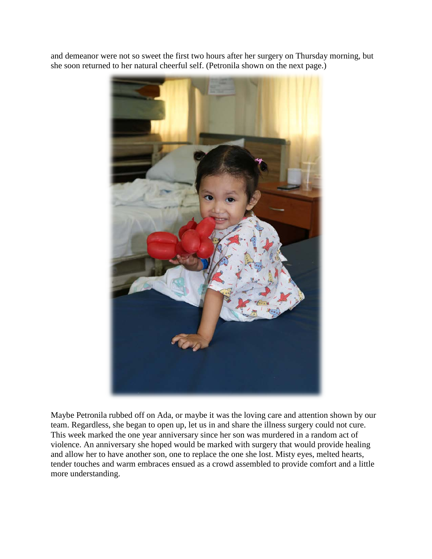and demeanor were not so sweet the first two hours after her surgery on Thursday morning, but she soon returned to her natural cheerful self. (Petronila shown on the next page.)



Maybe Petronila rubbed off on Ada, or maybe it was the loving care and attention shown by our team. Regardless, she began to open up, let us in and share the illness surgery could not cure. This week marked the one year anniversary since her son was murdered in a random act of violence. An anniversary she hoped would be marked with surgery that would provide healing and allow her to have another son, one to replace the one she lost. Misty eyes, melted hearts, tender touches and warm embraces ensued as a crowd assembled to provide comfort and a little more understanding.